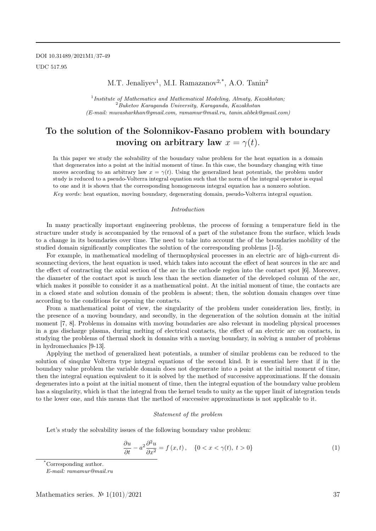M.T. Jenaliyev<sup>1</sup>, M.I. Ramazanov<sup>2,\*</sup>, A.O. Tanin<sup>2</sup>

<sup>1</sup> Institute of Mathematics and Mathematical Modeling, Almaty, Kazakhstan;  $2Buketov Karaganda University, Karaganda, Kazakhstan$ (E-mail: muvasharkhan@gmail.com, ramamur@mail.ru, tanin.alibek@gmail.com)

## To the solution of the Solonnikov-Fasano problem with boundary moving on arbitrary law  $x = \gamma(t)$ .

In this paper we study the solvability of the boundary value problem for the heat equation in a domain that degenerates into a point at the initial moment of time. In this case, the boundary changing with time moves according to an arbitrary law  $x = \gamma(t)$ . Using the generalized heat potentials, the problem under study is reduced to a pseudo-Volterra integral equation such that the norm of the integral operator is equal to one and it is shown that the corresponding homogeneous integral equation has a nonzero solution. Key words: heat equation, moving boundary, degenerating domain, pseudo-Volterra integral equation.

#### Introduction

In many practically important engineering problems, the process of forming a temperature field in the structure under study is accompanied by the removal of a part of the substance from the surface, which leads to a change in its boundaries over time. The need to take into account the of the boundaries mobility of the studied domain significantly complicates the solution of the corresponding problems [1-5].

For example, in mathematical modeling of thermophysical processes in an electric arc of high-current disconnecting devices, the heat equation is used, which takes into account the effect of heat sources in the arc and the effect of contracting the axial section of the arc in the cathode region into the contact spot [6]. Moreover, the diameter of the contact spot is much less than the section diameter of the developed column of the arc, which makes it possible to consider it as a mathematical point. At the initial moment of time, the contacts are in a closed state and solution domain of the problem is absent; then, the solution domain changes over time according to the conditions for opening the contacts.

From a mathematical point of view, the singularity of the problem under consideration lies, firstly, in the presence of a moving boundary, and secondly, in the degeneration of the solution domain at the initial moment [7, 8]. Problems in domains with moving boundaries are also relevant in modeling physical processes in a gas discharge plasma, during melting of electrical contacts, the effect of an electric arc on contacts, in studying the problems of thermal shock in domains with a moving boundary, in solving a number of problems in hydromechanics [9-13].

Applying the method of generalized heat potentials, a number of similar problems can be reduced to the solution of sinqular Volterra type integral equations of the second kind. It is essential here that if in the boundary value problem the variable domain does not degenerate into a point at the initial moment of time, then the integral equation equivalent to it is solved by the method of successive approximations. If the domain degenerates into a point at the initial moment of time, then the integral equation of the boundary value problem has a singularity, which is that the integral from the kernel tends to unity as the upper limit of integration tends to the lower one, and this means that the method of successive approximations is not applicable to it.

#### Statement of the problem

Let's study the solvability issues of the following boundary value problem:

$$
\frac{\partial u}{\partial t} - a^2 \frac{\partial^2 u}{\partial x^2} = f(x, t), \quad \{0 < x < \gamma(t), \ t > 0\} \tag{1}
$$

\*Corresponding author.

E-mail: ramamur@mail.ru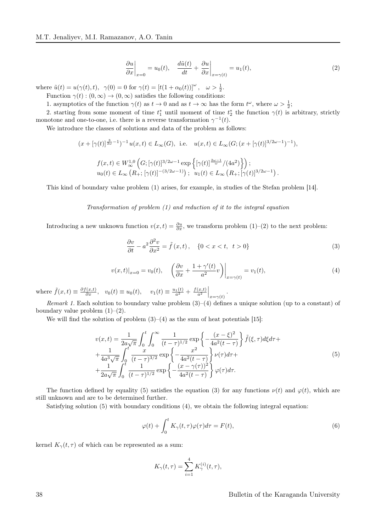$$
\left. \frac{\partial u}{\partial x} \right|_{x=0} = u_0(t), \quad \left. \frac{d\tilde{u}(t)}{dt} + \frac{\partial u}{\partial x} \right|_{x=\gamma(t)} = u_1(t), \tag{2}
$$

where  $\tilde{u}(t) = u(\gamma(t), t), \ \ \gamma(0) = 0 \text{ for } \gamma(t) = [t(1 + \alpha_0(t))]^{\omega}, \ \ \omega > \frac{1}{2}.$ Function  $\gamma(t) : (0, \infty) \to (0, \infty)$  satisfies the following conditions:

1. asymptotics of the function  $\gamma(t)$  as  $t \to 0$  and as  $t \to \infty$  has the form  $t^{\omega}$ , where  $\omega > \frac{1}{2}$ ;

2. starting from some moment of time  $t_1^*$  until moment of time  $t_2^*$  the function  $\gamma(t)$  is arbitrary, strictly monotone and one-to-one, i.e. there is a reverse transformation  $\gamma^{-1}(t)$ .

We introduce the classes of solutions and data of the problem as follows:

$$
(x + [\gamma(t)]^{\frac{3}{2\omega}-1})^{-1} u(x,t) \in L_{\infty}(G), \text{ i.e. } u(x,t) \in L_{\infty}(G; (x + [\gamma(t)]^{3/2\omega-1})^{-1}),
$$
  

$$
f(x,t) \in W_{\infty}^{1,0}\left(G; [\gamma(t)]^{3/2\omega-1} \exp\left\{ [\gamma(t)]^{\frac{2\omega-1}{\omega}}/(4a^2) \right\} \right);
$$
  

$$
u_0(t) \in L_{\infty}(R_+; [\gamma(t)]^{-(3/2\omega-1)}); \quad u_1(t) \in L_{\infty}(R_+; [\gamma(t)]^{3/2\omega-1}).
$$

This kind of boundary value problem (1) arises, for example, in studies of the Stefan problem [14].

Transformation of problem (1) and reduction of it to the integral equation

Introducing a new unknown function  $v(x,t) = \frac{\partial u}{\partial x}$ , we transform problem (1)–(2) to the next problem:

$$
\frac{\partial v}{\partial t} - a^2 \frac{\partial^2 v}{\partial x^2} = \tilde{f}(x, t), \quad \{0 < x < t, \ t > 0\} \tag{3}
$$

$$
v(x,t)|_{x=0} = v_0(t), \quad \left(\frac{\partial v}{\partial x} + \frac{1+\gamma'(t)}{a^2}v\right)\Big|_{x=\gamma(t)} = v_1(t),\tag{4}
$$

where  $\tilde{f}(x,t) \equiv \frac{\partial f(x,t)}{\partial x}$ ,  $v_0(t) \equiv u_0(t)$ ,  $v_1(t) \equiv \frac{u_1(t)}{a^2} + \frac{f(x,t)}{a^2}\Big|_{x=\gamma(t)}$ .

Remark 1. Each solution to boundary value problem  $(3)-(4)$  defines a unique solution (up to a constant) of boundary value problem  $(1)-(2)$ .

We will find the solution of problem  $(3)-(4)$  as the sum of heat potentials [15]:

$$
v(x,t) = \frac{1}{2a\sqrt{\pi}} \int_0^t \int_0^\infty \frac{1}{(t-\tau)^{1/2}} \exp\left\{-\frac{(x-\xi)^2}{4a^2(t-\tau)}\right\} \tilde{f}(\xi,\tau) d\xi d\tau + \frac{1}{4a^3\sqrt{\pi}} \int_0^t \frac{x}{(t-\tau)^{3/2}} \exp\left\{-\frac{x^2}{4a^2(t-\tau)}\right\} \nu(\tau) d\tau + \frac{1}{2a\sqrt{\pi}} \int_0^t \frac{1}{(t-\tau)^{1/2}} \exp\left\{-\frac{(x-\gamma(\tau))^2}{4a^2(t-\tau)}\right\} \varphi(\tau) d\tau.
$$
 (5)

The function defined by equality (5) satisfies the equation (3) for any functions  $\nu(t)$  and  $\varphi(t)$ , which are still unknown and are to be determined further.

Satisfying solution (5) with boundary conditions (4), we obtain the following integral equation:

$$
\varphi(t) + \int_0^t K_\gamma(t,\tau)\varphi(\tau)d\tau = F(t),\tag{6}
$$

kernel  $K_{\gamma}(t, \tau)$  of which can be represented as a sum:

$$
K_{\gamma}(t,\tau)=\sum_{i=1}^4 K_{\gamma}^{(i)}(t,\tau),
$$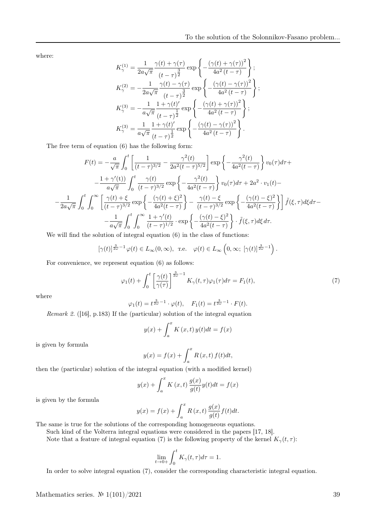where:

$$
K_{\gamma}^{(1)} = \frac{1}{2a\sqrt{\pi}} \frac{\gamma(t) + \gamma(\tau)}{(t-\tau)^{\frac{3}{2}}} \exp\left\{-\frac{(\gamma(t) + \gamma(\tau))^2}{4a^2(t-\tau)}\right\};
$$
  
\n
$$
K_{\gamma}^{(2)} = -\frac{1}{2a\sqrt{\pi}} \frac{\gamma(t) - \gamma(\tau)}{(t-\tau)^{\frac{3}{2}}} \exp\left\{-\frac{(\gamma(t) - \gamma(\tau))^2}{4a^2(t-\tau)}\right\};
$$
  
\n
$$
K_{\gamma}^{(3)} = -\frac{1}{a\sqrt{\pi}} \frac{1 + \gamma(t)'}{(t-\tau)^{\frac{1}{2}}} \exp\left\{-\frac{(\gamma(t) + \gamma(\tau))^2}{4a^2(t-\tau)}\right\};
$$
  
\n
$$
K_{\gamma}^{(3)} = \frac{1}{a\sqrt{\pi}} \frac{1 + \gamma(t)'}{(t-\tau)^{\frac{1}{2}}} \exp\left\{-\frac{(\gamma(t) - \gamma(\tau))^2}{4a^2(t-\tau)}\right\}.
$$

The free term of equation (6) has the following form:

$$
F(t) = -\frac{a}{\sqrt{\pi}} \int_0^t \left[ \frac{1}{(t-\tau)^{3/2}} - \frac{\gamma^2(t)}{2a^2(t-\tau)^{5/2}} \right] \exp\left\{-\frac{\gamma^2(t)}{4a^2(t-\tau)}\right\} v_0(\tau) d\tau +
$$

$$
-\frac{1+\gamma'(t)}{a\sqrt{\pi}} \int_0^t \frac{\gamma(t)}{(t-\tau)^{3/2}} \exp\left\{-\frac{\gamma^2(t)}{4a^2(t-\tau)}\right\} v_0(\tau) d\tau + 2a^2 \cdot v_1(t) -
$$

$$
-\frac{1}{2a\sqrt{\pi}} \int_0^t \int_0^\infty \left[ \frac{\gamma(t) + \xi}{(t-\tau)^{3/2}} \exp\left\{-\frac{(\gamma(t) + \xi)^2}{4a^2(t-\tau)}\right\} - \frac{\gamma(t) - \xi}{(t-\tau)^{3/2}} \exp\left\{-\frac{(\gamma(t) - \xi)^2}{4a^2(t-\tau)}\right\} \right] \tilde{f}(\xi, \tau) d\xi d\tau -
$$

$$
-\frac{1}{a\sqrt{\pi}} \int_0^t \int_0^\infty \frac{1 + \gamma'(t)}{(t-\tau)^{1/2}} \cdot \exp\left\{-\frac{(\gamma(t) - \xi)^2}{4a^2(t-\tau)}\right\} \cdot \tilde{f}(\xi, \tau) d\xi d\tau.
$$

We will find the solution of integral equation  $(6)$  in the class of functions:

$$
[\gamma(t)]^{\frac{3}{2\omega}-1}\varphi(t) \in L_{\infty}(0,\infty)
$$
, r.e.  $\varphi(t) \in L_{\infty}\left(0,\infty; [\gamma(t)]^{\frac{3}{2\omega}-1}\right)$ .

For convenience, we represent equation (6) as follows:

$$
\varphi_1(t) + \int_0^t \left[ \frac{\gamma(t)}{\gamma(\tau)} \right]^{\frac{3}{2\omega} - 1} K_\gamma(t, \tau) \varphi_1(\tau) d\tau = F_1(t),\tag{7}
$$

where

−

$$
\varphi_1(t) = t^{\frac{3}{2\omega}-1} \cdot \varphi(t), \quad F_1(t) = t^{\frac{3}{2\omega}-1} \cdot F(t).
$$

*Remark 2.* ([16], p.183) If the (particular) solution of the integral equation\n
$$
\frac{d}{dt} \left( \frac{d}{dt} \right)
$$

$$
y(x) + \int_{a}^{x} K(x, t) y(t) dt = f(x)
$$

is given by formula

$$
y(x) = f(x) + \int_a^x R(x, t) f(t) dt,
$$

then the (particular) solution of the integral equation (with a modified kernel)

$$
y(x) + \int_{a}^{x} K(x, t) \frac{g(x)}{g(t)} y(t) dt = f(x)
$$

is given by the formula

$$
y(x) = f(x) + \int_a^x R(x, t) \frac{g(x)}{g(t)} f(t) dt.
$$

The same is true for the solutions of the corresponding homogeneous equations.

Such kind of the Volterra integral equations were considered in the papers [17, 18].

Note that a feature of integral equation (7) is the following property of the kernel  $K_{\gamma}(t, \tau)$ :

$$
\lim_{t \to 0+} \int_0^t K_\gamma(t, \tau) d\tau = 1.
$$

In order to solve integral equation (7), consider the corresponding characteristic integral equation.

Mathematics series.  $\mathcal{N}$  1(101)/2021 39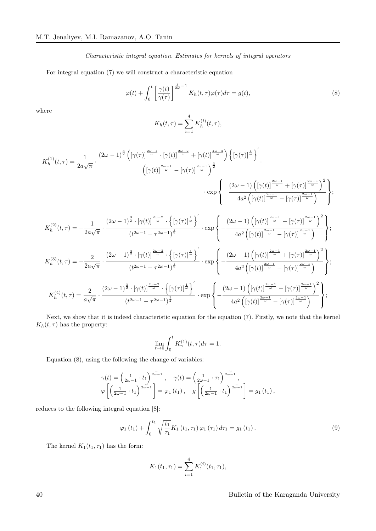Characteristic integral equation. Estimates for kernels of integral operators

For integral equation (7) we will construct a characteristic equation

$$
\varphi(t) + \int_0^t \left[ \frac{\gamma(t)}{\gamma(\tau)} \right]^{\frac{3}{2\omega} - 1} K_h(t, \tau) \varphi(\tau) d\tau = g(t),\tag{8}
$$

where

$$
K_h(t,\tau) = \sum_{i=1}^{4} K_h^{(i)}(t,\tau),
$$

$$
K_{h}^{(1)}(t,\tau) = \frac{1}{2a\sqrt{\pi}} \cdot \frac{(2\omega - 1)^{\frac{3}{2}} \left( [\gamma(\tau)]^{\frac{2\omega - 1}{\omega}} \cdot [\gamma(t)]^{\frac{2\omega - 1}{\omega}} + [\gamma(t)]^{\frac{4\omega - 3}{\omega}} \right) \left\{ [\gamma(\tau)]^{\frac{1}{\omega}} \right\}^{\frac{1}{\omega}}}{\left( [\gamma(t)]^{\frac{2\omega - 1}{\omega}} - [\gamma(\tau)]^{\frac{2\omega - 1}{\omega}} \right)^{\frac{3}{2}}}
$$
\n
$$
\exp \left\{ -\frac{(2\omega - 1) \left( [\gamma(t)]^{\frac{2\omega - 1}{\omega}} + [\gamma(\tau)]^{\frac{2\omega - 1}{\omega}} \right)^2}{4a^2 \left( [\gamma(t)]^{\frac{2\omega - 1}{\omega}} - [\gamma(\tau)]^{\frac{2\omega - 1}{\omega}} \right)^2} \right\};
$$
\n
$$
K_h^{(2)}(t,\tau) = -\frac{1}{2a\sqrt{\pi}} \cdot \frac{(2\omega - 1)^{\frac{3}{2}} \cdot [\gamma(t)]^{\frac{2\omega - 2}{\omega}} \cdot \left\{ [\gamma(\tau)]^{\frac{1}{\omega}} \right\}^{\frac{1}{\omega}}}{(t^{2\omega - 1} - \tau^{2\omega - 1})^{\frac{1}{2}}} \cdot \exp \left\{ -\frac{(2\omega - 1) \left( [\gamma(t)]^{\frac{2\omega - 1}{\omega}} - [\gamma(\tau)]^{\frac{2\omega - 1}{\omega}} \right)^2}{4a^2 \left( [\gamma(t)]^{\frac{2\omega - 1}{\omega}} - [\gamma(\tau)]^{\frac{2\omega - 1}{\omega}} \right)^2} \right\};
$$
\n
$$
K_h^{(3)}(t,\tau) = -\frac{2}{2a\sqrt{\pi}} \cdot \frac{(2\omega - 1)^{\frac{3}{2}} \cdot [\gamma(t)]^{\frac{2\omega - 2}{\omega}} \cdot \left\{ [\gamma(\tau)]^{\frac{1}{\omega}} \right\}^{\frac{1}{\omega}}}{(t^{2\omega - 1} - \tau^{2\omega - 1})^{\frac{1}{2}}} \cdot \exp \left\{ -\frac{(2\omega - 1) \left( [\gamma(t)]^{\frac{2\omega - 1}{\omega}} + [\gamma(\tau)]^{\
$$

Next, we show that it is indeed characteristic equation for the equation (7). Firstly, we note that the kernel  $K_h(t, \tau)$  has the property:

$$
\lim_{t \to 0} \int_0^t K_{\gamma}^{(1)}(t, \tau) d\tau = 1.
$$

Equation (8), using the following the change of variables:

$$
\gamma(t) = \left(\frac{1}{2\omega - 1} \cdot t_1\right)^{\frac{\omega}{2\omega - 1}}, \quad \gamma(t) = \left(\frac{1}{2\omega - 1} \cdot \tau_1\right)^{\frac{\omega}{2\omega - 1}},
$$
  

$$
\varphi\left[\left(\frac{1}{2\omega - 1} \cdot t_1\right)^{\frac{\omega}{2\omega - 1}}\right] = \varphi_1(t_1), \quad g\left[\left(\frac{1}{2\omega - 1} \cdot t_1\right)^{\frac{\omega}{2\omega - 1}}\right] = g_1(t_1),
$$

reduces to the following integral equation [8]:

$$
\varphi_{1}(t_{1}) + \int_{0}^{t_{1}} \sqrt{\frac{t_{1}}{\tau_{1}}} K_{1}(t_{1}, \tau_{1}) \varphi_{1}(\tau_{1}) d\tau_{1} = g_{1}(t_{1}). \qquad (9)
$$

The kernel  $K_1(t_1, \tau_1)$  has the form:

$$
K_1(t_1, \tau_1) = \sum_{i=1}^4 K_1^{(i)}(t_1, \tau_1),
$$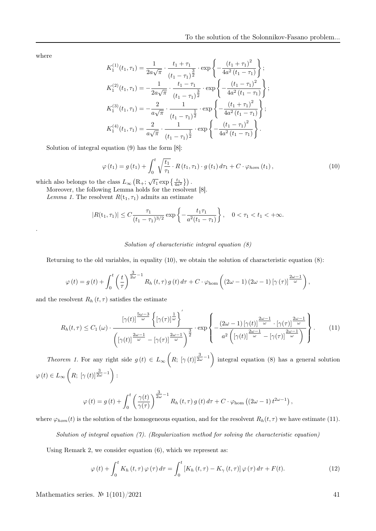where

.

$$
K_1^{(1)}(t_1, \tau_1) = \frac{1}{2a\sqrt{\pi}} \cdot \frac{t_1 + \tau_1}{(t_1 - \tau_1)^{\frac{3}{2}}} \cdot \exp\left\{-\frac{(t_1 + \tau_1)^2}{4a^2(t_1 - \tau_1)}\right\};
$$
  
\n
$$
K_1^{(2)}(t_1, \tau_1) = -\frac{1}{2a\sqrt{\pi}} \cdot \frac{t_1 - \tau_1}{(t_1 - \tau_1)^{\frac{3}{2}}} \cdot \exp\left\{-\frac{(t_1 - \tau_1)^2}{4a^2(t_1 - \tau_1)}\right\};
$$
  
\n
$$
K_1^{(3)}(t_1, \tau_1) = -\frac{2}{a\sqrt{\pi}} \cdot \frac{1}{(t_1 - \tau_1)^{\frac{1}{2}}} \cdot \exp\left\{-\frac{(t_1 + \tau_1)^2}{4a^2(t_1 - \tau_1)}\right\};
$$
  
\n
$$
K_1^{(4)}(t_1, \tau_1) = \frac{2}{a\sqrt{\pi}} \cdot \frac{1}{(t_1 - \tau_1)^{\frac{1}{2}}} \cdot \exp\left\{-\frac{(t_1 - \tau_1)^2}{4a^2(t_1 - \tau_1)}\right\}.
$$

Solution of integral equation (9) has the form [8]:

$$
\varphi(t_1) = g(t_1) + \int_0^t \sqrt{\frac{t_1}{\tau_1}} \cdot R(t_1, \tau_1) \cdot g(t_1) d\tau_1 + C \cdot \varphi_{hom}(t_1), \qquad (10)
$$

which also belongs to the class  $L_{\infty}\left(\mathbf{R}_+;\sqrt{t_1}\exp\left\{\frac{t_1}{4a^2}\right\}\right)$ .

Moreover, the following Lemma holds for the resolvent [8].

Lemma 1. The resolvent  $R(t_1, \tau_1)$  admits an estimate

$$
|R(t_1, \tau_1)| \le C \frac{\tau_1}{(t_1 - \tau_1)^{3/2}} \exp \left\{-\frac{t_1 \tau_1}{a^2(t_1 - \tau_1)}\right\}, \quad 0 < \tau_1 < t_1 < +\infty.
$$

## Solution of characteristic integral equation (8)

Returning to the old variables, in equality (10), we obtain the solution of characteristic equation (8):

$$
\varphi(t) = g(t) + \int_0^t \left(\frac{t}{\tau}\right)^{\frac{3}{2\omega}-1} R_h(t,\tau) g(t) d\tau + C \cdot \varphi_{\text{hom}}\left((2\omega - 1) (2\omega - 1) [\gamma(\tau)]^{\frac{2\omega - 1}{\omega}}\right),
$$

and the resolvent  $R_h(t, \tau)$  satisfies the estimate

$$
R_h(t,\tau) \leq C_1(\omega) \cdot \frac{\left[\gamma(t)\right]^{\frac{5\omega-3}{\omega}} \left\{\left[\gamma(\tau)\right]^{\frac{1}{\omega}}\right\}'}{\left(\left[\gamma(t)\right]^{\frac{2\omega-1}{\omega}} - \left[\gamma(\tau)\right]^{\frac{2\omega-1}{\omega}}\right)^{\frac{3}{2}}} \cdot \exp\left\{-\frac{(2\omega-1)\left[\gamma(t)\right]^{\frac{2\omega-1}{\omega}} \cdot \left[\gamma(\tau)\right]^{\frac{2\omega-1}{\omega}}}{a^2\left(\left[\gamma(t)\right]^{\frac{2\omega-1}{\omega}} - \left[\gamma(\tau)\right]^{\frac{2\omega-1}{\omega}}\right)}\right\}.
$$
 (11)

Theorem 1. For any right side  $g(t) \in L_{\infty}\left(R; [\gamma(t)]^{\frac{3}{2\omega}-1}\right)$  integral equation (8) has a general solution  $\varphi(t) \in L_{\infty}\left(R; \left[\gamma(t)\right]^{\frac{3}{2\omega}-1}\right)$ :

$$
\varphi(t) = g(t) + \int_0^t \left(\frac{\gamma(t)}{\gamma(\tau)}\right)^{\frac{3}{2\omega}-1} R_h(t,\tau) g(t) d\tau + C \cdot \varphi_{\text{hom}}\left((2\omega - 1) t^{2\omega - 1}\right),
$$

where  $\varphi_{hom}(t)$  is the solution of the homogeneous equation, and for the resolvent  $R_h(t, \tau)$  we have estimate (11).

Solution of integral equation  $(7)$ . (Regularization method for solving the characteristic equation)

Using Remark 2, we consider equation (6), which we represent as:

$$
\varphi(t) + \int_0^t K_h(t,\tau)\,\varphi(\tau)\,d\tau = \int_0^t \left[ K_h(t,\tau) - K_\gamma(t,\tau) \right] \varphi(\tau)\,d\tau + F(t). \tag{12}
$$

Mathematics series.  $N\approx 1(101)/2021$  41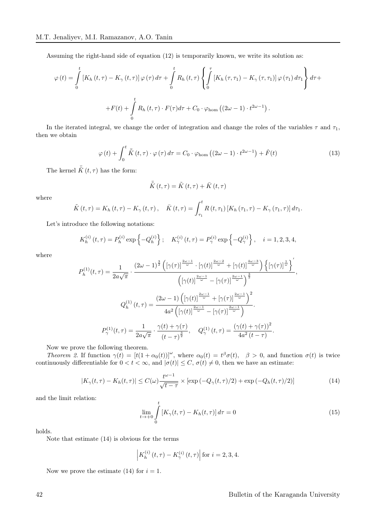Assuming the right-hand side of equation (12) is temporarily known, we write its solution as:

$$
\varphi(t) = \int_{0}^{t} \left[ K_h(t,\tau) - K_{\gamma}(t,\tau) \right] \varphi(\tau) d\tau + \int_{0}^{t} R_h(t,\tau) \left\{ \int_{0}^{\tau} \left[ K_h(\tau,\tau_1) - K_{\gamma}(\tau,\tau_1) \right] \varphi(\tau_1) d\tau_1 \right\} d\tau +
$$
  
+
$$
F(t) + \int_{0}^{t} R_h(t,\tau) \cdot F(\tau) d\tau + C_0 \cdot \varphi_{\text{hom}} \left( (2\omega - 1) \cdot t^{2\omega - 1} \right).
$$

In the iterated integral, we change the order of integration and change the roles of the variables  $\tau$  and  $\tau_1$ , then we obtain

$$
\varphi(t) + \int_0^t \bar{\tilde{K}}(t,\tau) \cdot \varphi(\tau) d\tau = C_0 \cdot \varphi_{\text{hom}}\left((2\omega - 1) \cdot t^{2\omega - 1}\right) + \hat{F}(t)
$$
\n(13)

The kernel  $\bar{\tilde{K}}(t,\tau)$  has the form:

$$
\bar{\tilde{K}}\left(t,\tau\right) = \tilde{K}\left(t,\tau\right) + \bar{K}\left(t,\tau\right)
$$

where

$$
\tilde{K}(t,\tau) = K_h(t,\tau) - K_\gamma(t,\tau), \quad \bar{K}(t,\tau) = \int_{\tau_1}^t R(t,\tau_1) \left[ K_h(\tau_1,\tau) - K_\gamma(\tau_1,\tau) \right] d\tau_1.
$$

Let's introduce the following notations:

$$
K_h^{(i)}(t,\tau) = P_h^{(i)} \exp\left\{-Q_h^{(i)}\right\}; \quad K_\gamma^{(i)}(t,\tau) = P_\gamma^{(i)} \exp\left\{-Q_\gamma^{(i)}\right\}, \quad i = 1, 2, 3, 4,
$$

where

$$
P_h^{(1)}(t,\tau) = \frac{1}{2a\sqrt{\pi}} \cdot \frac{\left(2\omega - 1\right)^{\frac{3}{2}} \left(\left[\gamma(\tau)\right]^{\frac{2\omega - 1}{\omega}} \cdot \left[\gamma(t)\right]^{\frac{2\omega - 2}{\omega}} + \left[\gamma(t)\right]^{\frac{4\omega - 3}{\omega}}\right) \left\{\left[\gamma(\tau)\right]^{\frac{1}{\omega}}\right\}'}{\left(\left[\gamma(t)\right]^{\frac{2\omega - 1}{\omega}} - \left[\gamma(\tau)\right]^{\frac{2\omega - 1}{\omega}}\right]^{\frac{3}{2}}}
$$
\n
$$
Q_h^{(1)}(t,\tau) = \frac{\left(2\omega - 1\right) \left(\left[\gamma(t)\right]^{\frac{2\omega - 1}{\omega}} + \left[\gamma(\tau)\right]^{\frac{2\omega - 1}{\omega}}\right]^2}{4a^2 \left(\left[\gamma(t)\right]^{\frac{2\omega - 1}{\omega}} - \left[\gamma(\tau)\right]^{\frac{2\omega - 1}{\omega}}\right)}.
$$
\n
$$
P_\gamma^{(1)}(t,\tau) = \frac{1}{2a\sqrt{\pi}} \cdot \frac{\gamma(t) + \gamma(\tau)}{(t-\tau)^{\frac{3}{2}}}, \quad Q_\gamma^{(1)}(t,\tau) = \frac{\left(\gamma(t) + \gamma(\tau)\right)^2}{4a^2(t-\tau)}.
$$

Now we prove the following theorem.

Theorem 2. If function  $\gamma(t) = [t(1+\alpha_0(t))]^{\omega}$ , where  $\alpha_0(t) = t^{\beta}\sigma(t)$ ,  $\beta > 0$ , and function  $\sigma(t)$  is twice continuously differentiable for  $0 < t < \infty$ , and  $|\sigma(t)| \leq C$ ,  $\sigma(t) \neq 0$ , then we have an estimate:

$$
|K_{\gamma}(t,\tau) - K_h(t,\tau)| \le C(\omega) \frac{t^{\omega - 1}}{\sqrt{t - \tau}} \times \left[ \exp\left(-Q_{\gamma}(t,\tau)/2\right) + \exp\left(-Q_h(t,\tau)/2\right) \right]
$$
(14)

and the limit relation:

$$
\lim_{t \to +0} \int_{0}^{t} \left[ K_{\gamma}(t,\tau) - K_{h}(t,\tau) \right] d\tau = 0 \tag{15}
$$

holds.

Note that estimate (14) is obvious for the terms

$$
\left| K_{h}^{(i)}\left( t,\tau\right) -K_{\gamma}^{(i)}\left( t,\tau\right) \right| \text{for }i=2,3,4.
$$

Now we prove the estimate (14) for  $i = 1$ .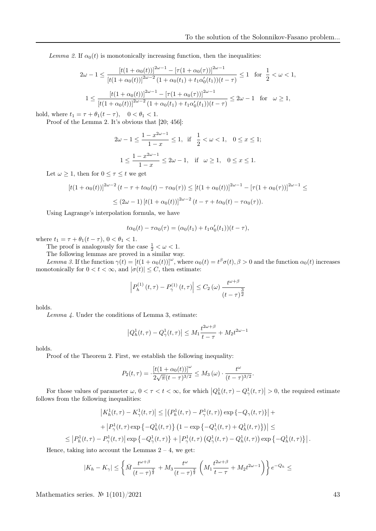Lemma 2. If  $\alpha_0(t)$  is monotonically increasing function, then the inequalities:

$$
2\omega - 1 \le \frac{\left[t(1+\alpha_0(t))\right]^{2\omega - 1} - \left[\tau(1+\alpha_0(\tau))\right]^{2\omega - 1}}{\left[t(1+\alpha_0(t))\right]^{2\omega - 2} \left(1+\alpha_0(t_1) + t_1\alpha_0'(t_1)\right)(t-\tau)} \le 1 \quad \text{for } \frac{1}{2} < \omega < 1,
$$
  

$$
1 \le \frac{\left[t(1+\alpha_0(t))\right]^{2\omega - 1} - \left[\tau(1+\alpha_0(\tau))\right]^{2\omega - 1}}{\left[t(1+\alpha_0(t))\right]^{2\omega - 2} \left(1+\alpha_0(t_1) + t_1\alpha_0'(t_1)\right)(t-\tau)} \le 2\omega - 1 \quad \text{for } \omega \ge 1,
$$

hold, where  $t_1 = \tau + \theta_1(t - \tau)$ ,  $0 < \theta_1 < 1$ .

Proof of the Lemma 2. It's obvious that [20; 456]:

$$
2\omega - 1 \le \frac{1 - x^{2\omega - 1}}{1 - x} \le 1, \text{ if } \frac{1}{2} < \omega < 1, 0 \le x \le 1;
$$
  

$$
1 \le \frac{1 - x^{2\omega - 1}}{1 - x} \le 2\omega - 1, \text{ if } \omega \ge 1, 0 \le x \le 1.
$$

Let  $\omega \geq 1$ , then for  $0 \leq \tau \leq t$  we get

$$
[t(1+\alpha_0(t))]^{2\omega-2} (t-\tau+t\alpha_0(t)-\tau\alpha_0(\tau)) \leq [t(1+\alpha_0(t))]^{2\omega-1} - [\tau(1+\alpha_0(\tau))]^{2\omega-1} \leq
$$
  

$$
\leq (2\omega-1) [t(1+\alpha_0(t))]^{2\omega-2} (t-\tau+t\alpha_0(t)-\tau\alpha_0(\tau)).
$$

Using Lagrange's interpolation formula, we have

$$
t\alpha_0(t) - \tau \alpha_0(\tau) = (\alpha_0(t_1) + t_1 \alpha'_0(t_1))(t - \tau),
$$

where  $t_1 = \tau + \theta_1(t - \tau)$ ,  $0 < \theta_1 < 1$ .

The proof is analogously for the case  $\frac{1}{2} < \omega < 1$ .

The following lemmas are proved in a similar way.

Lemma 3. If the function  $\gamma(t) = [t(1+\alpha_0(t))]^{\omega}$ , where  $\alpha_0(t) = t^{\beta} \sigma(t), \beta > 0$  and the function  $\alpha_0(t)$  increases monotonically for  $0 < t < \infty$ , and  $|\sigma(t)| \leq C$ , then estimate:

$$
\left| P_h^{(1)}(t,\tau) - P_\gamma^{(1)}(t,\tau) \right| \le C_2(\omega) \frac{t^{\omega+\beta}}{(t-\tau)^{\frac{3}{2}}}
$$

holds.

Lemma 4. Under the conditions of Lemma 3, estimate:

$$
|Q_h^1(t,\tau) - Q_\gamma^1(t,\tau)| \le M_1 \frac{t^{2\omega+\beta}}{t-\tau} + M_2 t^{2\omega-1}
$$

holds.

Proof of the Theorem 2. First, we establish the following inequality:

$$
P_2(t,\tau) = \frac{[t(1+\alpha_0(t))]^{\omega}}{2\sqrt{\pi}(t-\tau)^{3/2}} \le M_3(\omega) \cdot \frac{t^{\omega}}{(t-\tau)^{3/2}}.
$$

For those values of parameter  $\omega, 0 < \tau < t < \infty$ , for which  $|Q_h^1(t, \tau) - Q_\gamma^1(t, \tau)| > 0$ , the required estimate follows from the following inequalities:

$$
\left| K_h^1(t,\tau) - K_\gamma^1(t,\tau) \right| \le \left| \left( P_h^1(t,\tau) - P_\gamma^1(t,\tau) \right) \exp \left\{ -Q_\gamma(t,\tau) \right\} \right| +
$$
  
+ 
$$
\left| P_\gamma^1(t,\tau) \exp \left\{ -Q_h^1(t,\tau) \right\} \left( 1 - \exp \left\{ -Q_\gamma^1(t,\tau) + Q_h^1(t,\tau) \right\} \right) \right| \le
$$
  

$$
\le \left| P_h^1(t,\tau) - P_\gamma^1(t,\tau) \right| \exp \left\{ -Q_\gamma^1(t,\tau) \right\} + \left| P_\gamma^1(t,\tau) \left( Q_\gamma^1(t,\tau) - Q_h^1(t,\tau) \right) \exp \left\{ -Q_h^1(t,\tau) \right\} \right|.
$$

Hence, taking into account the Lemmas  $2 - 4$ , we get:

$$
|K_h - K_\gamma| \le \left\{ \bar{M} \frac{t^{\omega+\beta}}{(t-\tau)^{\frac{3}{2}}} + M_3 \frac{t^{\omega}}{(t-\tau)^{\frac{3}{2}}} \left( M_1 \frac{t^{2\omega+\beta}}{t-\tau} + M_2 t^{2\omega-1} \right) \right\} e^{-Q_h} \le
$$

Mathematics series.  $\mathbb{N}^2 1(101)/2021$  43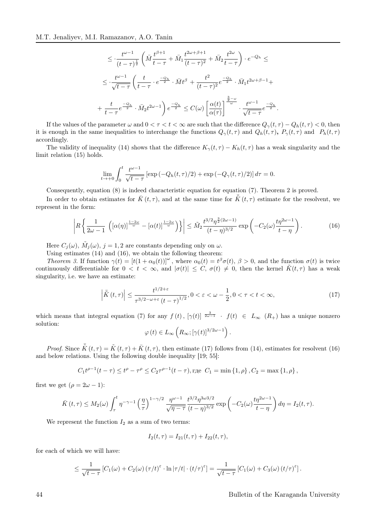$$
\leq \frac{t^{\omega-1}}{(t-\tau)^{\frac{1}{2}}} \left( \bar{M} \frac{t^{\beta+1}}{t-\tau} + \bar{M}_1 \frac{t^{2\omega+\beta+1}}{(t-\tau)^2} + \bar{M}_2 \frac{t^{2\omega}}{t-\tau} \right) \cdot e^{-Q_h} \leq
$$
  

$$
\leq \frac{t^{\omega-1}}{\sqrt{t-\tau}} \left( \frac{t}{t-\tau} \cdot e^{\frac{-Q_h}{2}} \cdot \bar{M} t^{\beta} + \frac{t^2}{(t-\tau)^2} e^{\frac{-Q_h}{2}} \cdot \bar{M}_1 t^{2\omega+\beta-1} + \frac{t}{t-\tau} e^{\frac{-Q_h}{2}} \cdot \bar{M}_2 t^{2\omega-1} \right) e^{\frac{-Q_h}{2}} \leq C(\omega) \left[ \frac{\alpha(t)}{\alpha(\tau)} \right]^{\frac{3}{\omega}} \cdot \frac{t^{\omega-1}}{\sqrt{t-\tau}} e^{\frac{-Q_h}{2}}.
$$

If the values of the parameter  $\omega$  and  $0 < \tau < t < \infty$  are such that the difference  $Q_{\gamma}(t, \tau) - Q_h(t, \tau) < 0$ , then it is enough in the same inequalities to interchange the functions  $Q_{\gamma}(t,\tau)$  and  $Q_h(t,\tau)$ ,  $P_{\gamma}(t,\tau)$  and  $P_h(t,\tau)$ accordingly.

The validity of inequality (14) shows that the difference  $K_{\gamma}(t, \tau) - K_h(t, \tau)$  has a weak singularity and the limit relation (15) holds.

$$
\lim_{t \to +0} \int_0^t \frac{t^{\omega-1}}{\sqrt{t-\tau}} \left[ \exp\left(-Q_h(t,\tau)/2\right) + \exp\left(-Q_\gamma(t,\tau)/2\right) \right] d\tau = 0.
$$

Consequently, equation (8) is indeed characteristic equation for equation (7). Theorem 2 is proved.

In order to obtain estimates for  $\bar{K}(t, \tau)$ , and at the same time for  $\bar{K}(t, \tau)$  estimate for the resolvent, we represent in the form:

$$
\left| R\left\{ \frac{1}{2\omega - 1} \left( \left[ \alpha(\eta) \right]^{\frac{1-2\omega}{\omega}} - \left[ \alpha(t) \right]^{\frac{1-2\omega}{\omega}} \right) \right\} \right| \leq \tilde{M}_2 \frac{t^{3/2} \eta^{\frac{3}{2}(2\omega - 1)}}{(t - \eta)^{3/2}} \exp\left( -C_2(\omega) \frac{t \eta^{2\omega - 1}}{t - \eta} \right). \tag{16}
$$

Here  $C_j(\omega)$ ,  $\tilde{M}_j(\omega)$ ,  $j = 1, 2$  are constants depending only on  $\omega$ .

Using estimates (14) and (16), we obtain the following theorem: Theorem 3. If function  $\gamma(t) = [t(1 + \alpha_0(t))]^{\omega}$ , where  $\alpha_0(t) = t^{\beta} \sigma(t)$ ,  $\beta > 0$ , and the function  $\sigma(t)$  is twice continuously differentiable for  $0 < t < \infty$ , and  $|\sigma(t)| \leq C$ ,  $\sigma(t) \neq 0$ , then the kernel  $\tilde{K}(t, \tau)$  has a weak singularity, i.e. we have an estimate:

$$
\left| \bar{\tilde{K}}\left( t,\tau \right) \right| \leq \frac{t^{1/2+\varepsilon}}{\tau^{3/2-\omega+\varepsilon}\left( t-\tau \right)^{1/2}}, 0 < \varepsilon < \omega - \frac{1}{2}, 0 < \tau < t < \infty,
$$
\n
$$
(17)
$$

which means that integral equation (7) for any  $f(t)$ ,  $[\gamma(t)]$   $\frac{3}{2\omega-1}$  ·  $f(t) \in L_{\infty}(R_{+})$  has a unique nonzero solution:

$$
\varphi(t) \in L_{\infty}\left(R_{\infty}; [\gamma(t)]^{3/2\omega - 1}\right).
$$

*Proof.* Since  $\tilde{K}(t,\tau) = \tilde{K}(t,\tau) + \bar{K}(t,\tau)$ , then estimate (17) follows from (14), estimates for resolvent (16) and below relations. Using the following double inequality [19; 55]:

$$
C_1 t^{\rho-1}(t-\tau) \le t^{\rho} - \tau^{\rho} \le C_2 \tau^{\rho-1}(t-\tau)
$$
,  $\text{rge } C_1 = \min\{1, \rho\}$ ,  $C_2 = \max\{1, \rho\}$ ,

first we get  $(\rho = 2\omega - 1)$ :

$$
\bar{K}(t,\tau) \leq M_2(\omega) \int_{\tau}^t \eta^{-\gamma-1} \left(\frac{\eta}{\tau}\right)^{1-\gamma/2} \frac{\eta^{\omega-1}}{\sqrt{\eta-\tau}} \frac{t^{3/2} \eta^{3\omega 3/2}}{(t-\eta)^{3/2}} \exp\left(-C_2(\omega) \frac{t\eta^{2\omega-1}}{t-\eta}\right) d\eta = I_2(t,\tau).
$$

We represent the function  $I_2$  as a sum of two terms:

$$
I_2(t,\tau) = I_{21}(t,\tau) + I_{22}(t,\tau),
$$

for each of which we will have:

$$
\leq \frac{1}{\sqrt{t-\tau}}\left[C_1(\omega)+C_2(\omega)\left(\tau/t\right)^{\varepsilon}\cdot\ln|\tau/t|\cdot\left(t/\tau\right)^{\varepsilon}\right]=\frac{1}{\sqrt{t-\tau}}\left[C_1(\omega)+C_3(\omega)\left(t/\tau\right)^{\varepsilon}\right].
$$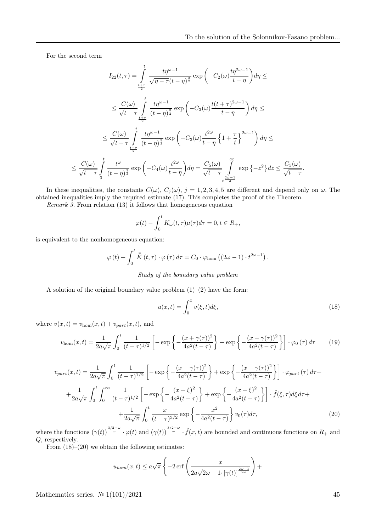For the second term

$$
I_{22}(t,\tau) = \int_{\frac{t+\tau}{2}}^{t} \frac{t\eta^{\omega-1}}{\sqrt{\eta-\tau}(t-\eta)^{\frac{3}{2}}} \exp\left(-C_2(\omega)\frac{t\eta^{2\omega-1}}{t-\eta}\right) d\eta \le
$$
  

$$
\leq \frac{C(\omega)}{\sqrt{t-\tau}} \int_{\frac{t+\tau}{2}}^{t} \frac{t\eta^{\omega-1}}{(t-\eta)^{\frac{3}{2}}} \exp\left(-C_3(\omega)\frac{t(t+\tau)^{2\omega-1}}{t-\eta}\right) d\eta \le
$$
  

$$
\leq \frac{C(\omega)}{\sqrt{t-\tau}} \int_{\frac{t+\tau}{2}}^{t} \frac{t\eta^{\omega-1}}{(t-\eta)^{\frac{3}{2}}} \exp\left(-C_3(\omega)\frac{t^{2\omega}}{t-\eta}\left\{1+\frac{\tau}{t}\right\}^{2\omega-1}\right) d\eta \le
$$
  

$$
\leq \frac{C(\omega)}{\sqrt{t-\tau}} \int_{0}^{t} \frac{t^{\omega}}{(t-\eta)^{\frac{3}{2}}} \exp\left(-C_4(\omega)\frac{t^{2\omega}}{t-\eta}\right) d\eta = \frac{C_5(\omega)}{\sqrt{t-\tau}} \int_{\frac{t^2\omega-1}{2}}^{\infty} \exp\left\{-z^2\right\} dz \leq \frac{C_5(\omega)}{\sqrt{t-\tau}}.
$$

In these inequalities, the constants  $C(\omega)$ ,  $C_j(\omega)$ ,  $j = 1, 2, 3, 4, 5$  are different and depend only on  $\omega$ . The obtained inequalities imply the required estimate (17). This completes the proof of the Theorem.

Remark 3. From relation (13) it follows that homogeneous equation

$$
\varphi(t) - \int_0^t K_\omega(t, \tau) \mu(\tau) d\tau = 0, t \in R_+,
$$

is equivalent to the nonhomogeneous equation:

$$
\varphi(t) + \int_0^t \bar{\tilde{K}}(t,\tau) \cdot \varphi(\tau) d\tau = C_0 \cdot \varphi_{\text{hom}}\left((2\omega - 1) \cdot t^{2\omega - 1}\right).
$$

Study of the boundary value problem

A solution of the original boundary value problem  $(1)$ – $(2)$  have the form:

$$
u(x,t) = \int_0^x v(\xi, t) d\xi,
$$
\n(18)

where  $v(x,t) = v_{\text{hom}}(x,t) + v_{part}(x,t)$ , and

$$
v_{\text{hom}}(x,t) = \frac{1}{2a\sqrt{\pi}} \int_0^t \frac{1}{(t-\tau)^{1/2}} \left[ -\exp\left\{-\frac{(x+\gamma(\tau))^2}{4a^2(t-\tau)}\right\} + \exp\left\{-\frac{(x-\gamma(\tau))^2}{4a^2(t-\tau)}\right\} \right] \cdot \varphi_0(\tau) d\tau \tag{19}
$$

$$
v_{part}(x,t) = \frac{1}{2a\sqrt{\pi}} \int_0^t \frac{1}{(t-\tau)^{1/2}} \left[ -\exp\left\{ -\frac{(x+\gamma(\tau))^2}{4a^2(t-\tau)} \right\} + \exp\left\{ -\frac{(x-\gamma(\tau))^2}{4a^2(t-\tau)} \right\} \right] \cdot \varphi_{part}(\tau) d\tau +
$$

$$
+ \frac{1}{2a\sqrt{\pi}} \int_0^t \int_0^\infty \frac{1}{(t-\tau)^{1/2}} \left[ -\exp\left\{ -\frac{(x+\xi)^2}{4a^2(t-\tau)} \right\} + \exp\left\{ -\frac{(x-\xi)^2}{4a^2(t-\tau)} \right\} \right] \cdot \tilde{f}(\xi,\tau) d\xi d\tau +
$$

$$
+ \frac{1}{2a\sqrt{\pi}} \int_0^t \frac{x}{(t-\tau)^{3/2}} \exp\left\{ -\frac{x^2}{4a^2(t-\tau)} \right\} v_0(\tau) d\tau,
$$
(20)

where the functions  $(\gamma(t))^{\frac{3/2-\omega}{\omega}} \cdot \varphi(t)$  and  $(\gamma(t))^{\frac{3/2-\omega}{\omega}} \cdot \tilde{f}(x,t)$  are bounded and continuous functions on  $R_+$  and Q, respectively.

From  $(18)$ – $(20)$  we obtain the following estimates:

$$
u_{hom}(x,t) \le a\sqrt{\pi} \left\{-2\operatorname{erf}\left(\frac{x}{2a\sqrt{2\omega - 1} \cdot \left[\gamma(t)\right]^{\frac{2\omega - 1}{2\omega}}}\right) + \right\}
$$

Mathematics series.  $\mathcal{N}$  1(101)/2021 45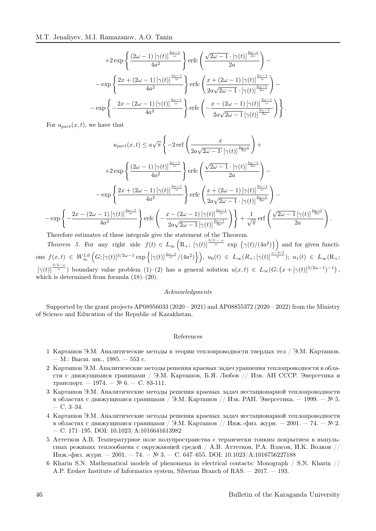$$
+2\exp\left\{\frac{\left(2\omega-1\right)\left[\gamma(t)\right]^{\frac{2\omega-1}{\omega}}}{4a^2}\right\}\text{erfc}\left(\frac{\sqrt{2\omega-1}\cdot\left[\gamma(t)\right]^{\frac{2\omega-1}{2\omega}}}{2a}\right)-\n-\exp\left\{\frac{2x+\left(2\omega-1\right)\left[\gamma(t)\right]^{\frac{2\omega-1}{\omega}}}{4a^2}\right\}\text{erfc}\left(\frac{x+\left(2\omega-1\right)\left[\gamma(t)\right]^{\frac{2\omega-1}{\omega}}}{2a\sqrt{2\omega-1}\cdot\left[\gamma(t)\right]^{\frac{2\omega-1}{2\omega}}}\right)-\n-\exp\left\{-\frac{2x-\left(2\omega-1\right)\left[\gamma(t)\right]^{\frac{2\omega-1}{\omega}}}{4a^2}\right\}\text{erfc}\left(-\frac{x-\left(2\omega-1\right)\left[\gamma(t)\right]^{\frac{2\omega-1}{\omega}}}{2a\sqrt{2\omega-1}\left[\gamma(t)\right]^{\frac{2\omega-1}{2\omega}}}\right)\right\}.
$$

For  $u_{part}(x, t)$ , we have that

$$
u_{part}(x,t) \le a\sqrt{\pi} \left\{ -2 \operatorname{erf}\left(\frac{x}{2a\sqrt{2\omega - 1} \cdot [\gamma(t)]^{\frac{2\omega - 1}{2\omega}}}\right) + \right.
$$
  

$$
+2 \exp\left\{ \frac{(2\omega - 1) [\gamma(t)]^{\frac{2\omega - 1}{\omega}}}{4a^2} \right\} \operatorname{erfc}\left(\frac{\sqrt{2\omega - 1} \cdot [\gamma(t)]^{\frac{2\omega - 1}{2\omega}}}{2a}\right) - \right.
$$

$$
-\exp\left\{ \frac{2x + (2\omega - 1) [\gamma(t)]^{\frac{2\omega - 1}{\omega}}}{4a^2} \right\} \operatorname{erfc}\left(\frac{x + (2\omega - 1) [\gamma(t)]^{\frac{2\omega - 1}{\omega}}}{2a\sqrt{2\omega - 1} \cdot [\gamma(t)]^{\frac{2\omega - 1}{2\omega}}}\right) - \left.
$$

$$
-\exp\left\{ -\frac{2x - (2\omega - 1) [\gamma(t)]^{\frac{2\omega - 1}{\omega}}}{4a^2} \right\} \operatorname{erfc}\left(-\frac{x - (2\omega - 1) [\gamma(t)]^{\frac{2\omega - 1}{\omega}}}{2a\sqrt{2\omega - 1} [\gamma(t)]^{\frac{2\omega - 1}{\omega}}}\right) + \frac{1}{\sqrt{\pi}} \operatorname{erf}\left(\frac{\sqrt{2\omega - 1} [\gamma(t)]^{\frac{2\omega - 1}{2\omega}}}{2a}\right).
$$

Therefore estimates of these integrals give the statement of the Theorem.

Theorem 5. For any right side  $f(t) \in L_{\infty}\left(\mathbb{R}_+; [\gamma(t)]^{\frac{3/2-\omega}{\omega}} \exp\left\{\gamma(t)/(4a^2)\right\}\right)$  and for given functi- $\text{ons }\, f(x,t)\ \in\ W^{1,0}_{\infty}\left(G;[\gamma(t)]^{3/2\omega-1}\exp\left\{ [\gamma(t)]^{\frac{2\omega-1}{\omega}}/(4a^2)\right\}\right),\,\, u_0(t)\ \in\ L_{\infty}(R_+;[\gamma(t)]^{\frac{\omega-3/2}{\omega}});\,\, u_1(t)\ \in\ L_{\infty}(\mathrm{R}_+;[\gamma(t)])^{\frac{2\omega-3}{\omega}}$  $[\gamma(t)]^{\frac{3/2-\omega}{\omega}}$  boundary value problem  $(1)-(2)$  has a general solution  $u(x,t) \in L_{\infty}(G; (x+[\gamma(t)]^{3/2\omega-1})^{-1})$ , which is determined from formula (18)–(20).

### Acknowledgments

Supported by the grant projects AP08956033 (2020 – 2021) and AP08855372 (2020 – 2022) from the Ministry of Science and Education of the Republic of Kazakhstan.

### References

- 1 Карташов Э.М. Аналитические методы в теории теплопроводности твердых тел / Э.М. Карташов. — М.: Высш. шк., 1985. — 553 с.
- 2 Карташов Э.М. Аналитические методы решения краевых задач уравнения теплопроводности в области с движущимися границами / Э.М. Карташов, Б.Я. Любов // Изв. АН СССР. Энергетика и транспорт. — 1974. — № 6. — С. 83-111.
- 3 Карташов Э.М. Аналитические методы решения краевых задач нестационарной теплопроводности в областях с движущимися границами / Э.М. Карташов // Изв. РАН. Энергетика. — 1999. — № 5. — С. 3–34.
- 4 Карташов Э.М. Аналитические методы решения краевых задач нестационарной теплопроводности в областях с движущимися границами / Э.М. Карташов // Инж.-физ. журн. — 2001. — 74. — № 2. — С. 171–195. DOI: 10.1023/A:1016641613982
- 5 Аттетков А.В. Температурное поле полупространства с термически тонким покрытием в импульсных режимах теплообмена с окружающей средой / А.В. Аттетков, P.A. Власов, И.К. Волков // Инж.-физ. журн. — 2001. — 74. — № 3. — С. 647–655. DOI: 10.1023/А:1016756227188
- 6 Kharin S.N. Mathematical models of phenomena in electrical contacts: Мonograph / S.N. Kharin // A.P. Ershov Institute of Informatics system, Siberian Branch of RAS. — 2017. — 193.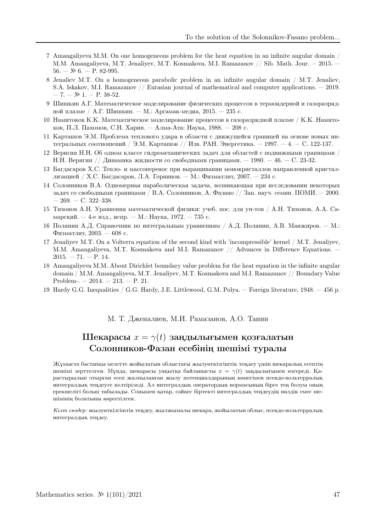- 7 Amangaliyeva M.M. On one homogeneous problem for the heat equation in an infinite angular domain / M.M. Amangaliyeva, M.T. Jenaliyev, M.T. Kosmakova, M.I. Ramazanov // Sib. Math. Jour. — 2015. —  $56. - N$  6. - P. 82-995.
- 8 Jenaliev M.T. On a homogeneous parabolic problem in an infinite angular domain / M.T. Jenaliev, S.A. Iskakov, M.I. Ramazanov // Eurasian journal of mathematical and computer applications. — 2019.  $-7. - N$ <sup>2</sup> 1. - P. 38-52.
- 9 Шишкин А.Г. Математическое моделирование физических процессов в термоядерной и газоразрядной плазме / А.Г. Шишкин. — М.: Аргамак-медиа, 2015. — 235 с.
- 10 Намитоков К.К. Математическое моделирование процессов в газоразрядной плазме / К.К. Намитоков, П.Л. Пахомов, С.Н. Харин. — Алма-Ата: Наука, 1988. — 208 с.
- 11 Карташов Э.М. Проблема теплового удара в области с движущейся границей на основе новых интегральных соотношений / Э.М. Карташов // Изв. РАН. Энергетика. — 1997. — 4. — C. 122-137.
- 12 Веригин Н.Н. Об одном классе гидромеханических задач для областей с подвижными границами / Н.Н. Веригин // Динамика жидкости со свободными границами. — 1980. — 46. — C. 23-32.
- 13 Багдасаров Х.С. Тепло- и массоперенос при выращивании монокристаллов направленной кристаллизацией / Х.С. Багдасаров, Л.А. Горяинов. — М.: Физматлит, 2007. — 234 с.
- 14 Солонников В.А. Одномерная параболическая задача, возникающая при исследовании некоторых задач со свободными границами / В.А. Солонников, А. Фазано // Зап. науч. семин. ПОМИ.  $-$  2000.  $-269. - C. 322 - 338.$
- 15 Тихонов А.Н. Уравнения математической физики: учеб. пос. для ун-тов / А.Н. Тихонов, А.А. Самарский. — 4-е изд., испр. — М.: Наука, 1972. — 735 с.
- 16 Полянин А.Д. Справочник по интегральным уравнениям / А.Д. Полянин, А.В. Манжиров. М.: Физматлит, 2003. — 608 с.
- 17 Jenaliyev M.T. On a Volterra equation of the second kind with 'incompressible' kernel / M.T. Jenaliyev, M.M. Amangaliyeva, M.T. Kosmakova and M.I. Ramazanov // Advances in Difference Equations. —  $2015. - 71. - P.$  14.
- 18 Amangaliyeva M.M. About Dirichlet boundary value problem for the heat equation in the infinite angular domain / M.M. Amangaliyeva, M.T. Jenaliyev, M.T. Kosmakova and M.I. Ramazanov // Boundary Value Problem-.  $-2014. -213. - P. 21.$
- 19 Hardy G.G. Inequalities / G.G. Hardy, J.E. Littlewood, G.M. Polya. Foreign literature, 1948. 456 р.

## М. Т. Дженалиев, М.И. Рамазанов, А.О. Танин

## Шекарасы  $x = \gamma(t)$  заңдылығымен қозғалатын Солонников-Фазан есебiнiң шешiмi туралы

Жұмыста бастапқы мезетте жойылатын облыстағы жылуөткiзгiштiк теңдеу үшiн шекаралық есептiң шешiмi зерттелген. Мұнда, шекарасы уақытқа байланысты  $x = \gamma(t)$  заңдылығымен өзгередi. Қарастырылып отырған есеп жалпыланған жылу потенциалдарының көмегiмен псевдо-вольтерралық интегралдық теңдеуге келтiрiледi. Ал интегралдық оператордың нормасының бiрге тең болуы оның ерекшелiгi болып табылады. Сонымен қатар, сәйкес бiртектi интегралдық теңдеудiң нөлдiк емес шешiмiнiң болатыны көрсетiлген.

Кiлт сөздер: жылуөткiзгiштiк теңдеу, жылжымалы шекара, жойылатын облыс, псевдо-вольтерралық интегралдық теңдеу.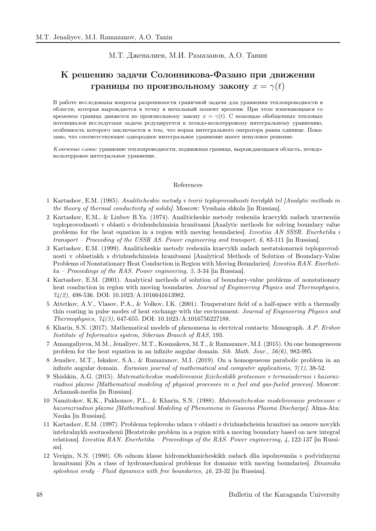## М.Т. Дженалиев, М.И. Рамазанов, А.О. Танин

# К решению задачи Солонникова-Фазано при движении границы по произвольному закону  $x = \gamma(t)$

В работе исследованы вопросы разрешимости граничной задачи для уравнения теплопроводности в области, которая вырождается в точку в начальный момент времени. При этом изменяющаяся со временем граница движется по произвольному закону  $x = \gamma(t)$ . С помощью обобщенных тепловых потенциалов исследуемая задача редуцируется к псевдо-вольтерровому интегральному уравнению, особенность которого заключается в том, что норма интегрального оператора равна единице. Показано, что соответствующее однородное интегральное уравнение имеет ненулевое решение.

Ключевые слова: уравнение теплопроводности, подвижная граница, вырождающаяся область, псевдовольтерровое интегральное уравнение.

#### References

- 1 Kartashov, E.M. (1985). Analiticheskie metody v teorii teploprovodnosti tverdykh tel [Analytic methods in the theory of thermal conductivity of solids]. Moscow: Vysshaia shkola [in Russian].
- 2 Kartashov, E.M., & Liubov B.Ya. (1974). Analiticheskie metody resheniia kraevykh zadach uravneniia teploprovodnosti v oblasti s dvizhushchimisia hranitsami [Analytic methods for solving boundary value problems for the heat equation in a region with moving boundaries]. Izvestiia AN SSSR. Enerhetika i transport – Proceeding of the USSR AS. Power engineering and transport, 6, 83-111 [in Russian].
- 3 Kartashov, E.M. (1999). Analiticheskie metody resheniia kraevykh zadach nestatsionarnoi teploprovodnosti v oblastiakh s dvizhushchimisia hranitsami [Analytical Methods of Solution of Boundary-Value Problems of Nonstationary Heat Conduction in Region with Moving Boundaries]. Izvestiia RAN. Enerhetika – Proceedings of the RAS. Power engineering, 5, 3-34 [in Russian].
- 4 Kartashov, E.M. (2001). Analytical methods of solution of boundary-value problems of nonstationary heat conduction in region with moving boundaries. Journal of Engineering Physics and Thermophysics,  $74(2)$ , 498-536. DOI: 10.1023/A:1016641613982.
- 5 Attetkov, A.V., Vlasov, P.A., & Volkov, I.K. (2001). Temperature field of a half-space with a thermally thin coating in pulse modes of heat exchange with the environment. Journal of Engineering Physics and Thermophysics, 74(3), 647-655. DOI: 10.1023/A:1016756227188.
- 6 Kharin, S.N. (2017). Mathematical models of phenomena in electrical contacts: Мonograph. A.P. Ershov Institute of Informatics system, Siberian Branch of RAS, 193.
- 7 Amangaliyeva, M.M., Jenaliyev, M.T., Kosmakova, M.T., & Ramazanov, M.I. (2015). On one homogeneous problem for the heat equation in an infinite angular domain. Sib. Math. Jour.,  $56(6)$ , 982-995.
- 8 Jenaliev, M.T., Iskakov, S.A., & Ramazanov, M.I. (2019). On a homogeneous parabolic problem in an infinite angular domain. Eurasian journal of mathematical and computer applications,  $7(1)$ , 38-52.
- 9 Shishkin, A.G. (2015). Matematicheskoe modelirovanie fizicheskikh protsessov v termoiadernoi i hazorazriadnoi plazme [Mathematical modeling of physical processes in a fuel and gas-fueled process]. Moscow: Arhamak-media [in Russian].
- 10 Namitokov, K.K., Pakhomov, P.L., & Kharin, S.N. (1988). Matematicheskoe modelirovanie protsessov v hazorazriadnoi plazme [Mathematical Modeling of Phenomena in Gaseous Plasma Discharge]. Alma-Ata: Nauka [in Russian].
- 11 Kartashov, E.M. (1997). Problema teplovoho udara v oblasti s dvizhushcheisia hranitsei na osnove novykh intehralnykh sootnoshenii [Heatstroke problem in a region with a moving boundary based on new integral relations]. Izvestiia RAN. Enerhetika – Proceedings of the RAS. Power engineering, 4, 122-137 [in Russian].
- 12 Verigin, N.N. (1980). Ob odnom klasse hidromekhanicheskikh zadach dlia ispolzovaniia s podvizhnymi hranitsami [On a class of hydromechanical problems for domains with moving boundaries]. Dinamika sploshnoi sredy – Fluid dynamics with free boundaries,  $\mu$ 6, 23-32 [in Russian].